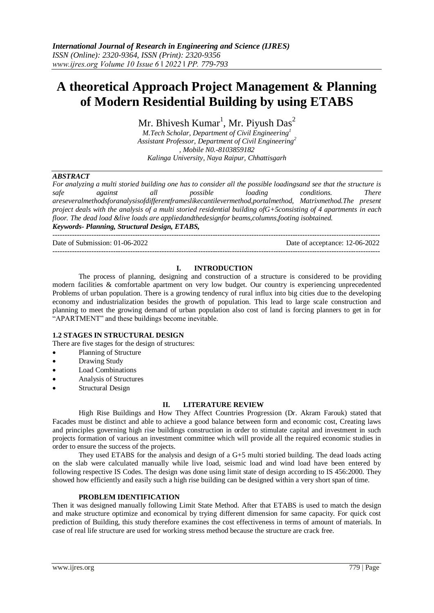# **A theoretical Approach Project Management & Planning of Modern Residential Building by using ETABS**

Mr. Bhivesh  $\text{Kumar}^1$ , Mr. Piyush  $\text{Das}^2$ 

*M.Tech Scholar, Department of Civil Engineering<sup>1</sup> Assistant Professor, Department of Civil Engineering<sup>2</sup> , Mobile N0.-8103859182 Kalinga University, Naya Raipur, Chhattisgarh*

# *ABSTRACT*

*For analyzing a multi storied building one has to consider all the possible loadingsand see that the structure is*<br>*safe against* all *possible loading conditions. There safe against all possible loading conditions. There areseveralmethodsforanalysisofdifferentframeslikecantilevermethod,portalmethod, Matrixmethod.The present project deals with the analysis of a multi storied residential building ofG+5consisting of 4 apartments in each floor. The dead load &live loads are appliedandthedesignfor beams,columns,footing isobtained. Keywords- Planning, Structural Design, ETABS,* 

Date of Submission: 01-06-2022 Date of acceptance: 12-06-2022

---------------------------------------------------------------------------------------------------------------------------------------

# **I. INTRODUCTION**

The process of planning, designing and construction of a structure is considered to be providing modern facilities & comfortable apartment on very low budget. Our country is experiencing unprecedented Problems of urban population. There is a growing tendency of rural influx into big cities due to the developing economy and industrialization besides the growth of population. This lead to large scale construction and planning to meet the growing demand of urban population also cost of land is forcing planners to get in for "APARTMENT" and these buildings become inevitable.

## **1.2 STAGES IN STRUCTURAL DESIGN**

There are five stages for the design of structures:

---------------------------------------------------------------------------------------------------------------------------------------

- Planning of Structure
- Drawing Study
- Load Combinations
- Analysis of Structures
- Structural Design

## **II. LITERATURE REVIEW**

High Rise Buildings and How They Affect Countries Progression (Dr. Akram Farouk) stated that Facades must be distinct and able to achieve a good balance between form and economic cost, Creating laws and principles governing high rise buildings construction in order to stimulate capital and investment in such projects formation of various an investment committee which will provide all the required economic studies in order to ensure the success of the projects.

They used ETABS for the analysis and design of a G+5 multi storied building. The dead loads acting on the slab were calculated manually while live load, seismic load and wind load have been entered by following respective IS Codes. The design was done using limit state of design according to IS 456:2000. They showed how efficiently and easily such a high rise building can be designed within a very short span of time.

## **PROBLEM IDENTIFICATION**

Then it was designed manually following Limit State Method. After that ETABS is used to match the design and make structure optimize and economical by trying different dimension for same capacity. For quick cost prediction of Building, this study therefore examines the cost effectiveness in terms of amount of materials. In case of real life structure are used for working stress method because the structure are crack free.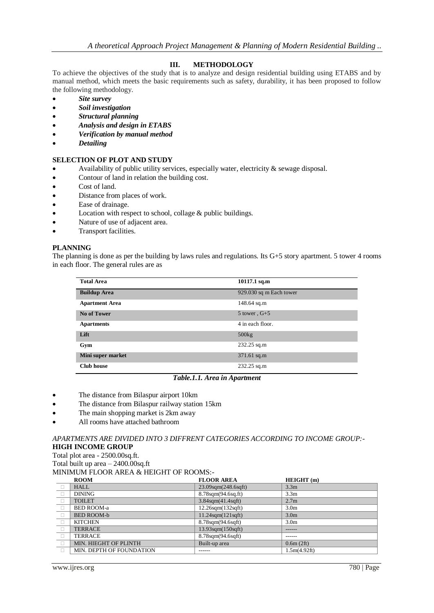# **III. METHODOLOGY**

To achieve the objectives of the study that is to analyze and design residential building using ETABS and by manual method, which meets the basic requirements such as safety, durability, it has been proposed to follow the following methodology.

- *Site survey*
- *Soil investigation*
- *Structural planning*
- *Analysis and design in ETABS*
- *Verification by manual method*
- *Detailing*

# **SELECTION OF PLOT AND STUDY**

- Availability of public utility services, especially water, electricity & sewage disposal.
- Contour of land in relation the building cost.
- Cost of land.
- Distance from places of work.
- Ease of drainage.
- Location with respect to school, collage & public buildings.
- Nature of use of adjacent area.
- Transport facilities.

# **PLANNING**

The planning is done as per the building by laws rules and regulations. Its G+5 story apartment. 5 tower 4 rooms in each floor. The general rules are as

| <b>Total Area</b>     | 10117.1 sq.m            |
|-----------------------|-------------------------|
|                       |                         |
| <b>Buildup Area</b>   | 929.030 sq m Each tower |
| <b>Apartment Area</b> | 148.64 sq.m             |
| <b>No of Tower</b>    | 5 tower, $G+5$          |
| <b>Apartments</b>     | 4 in each floor.        |
| Lift                  | 500kg                   |
| Gym                   | $232.25$ sq.m           |
| Mini super market     | $371.61$ sq.m           |
| <b>Club</b> house     | $232.25$ sq.m           |

## *Table.1.1. Area in Apartment*

- The distance from Bilaspur airport 10km
- The distance from Bilaspur railway station 15km
- The main shopping market is 2km away
- All rooms have attached bathroom

*APARTMENTS ARE DIVIDED INTO 3 DIFFRENT CATEGORIES ACCORDING TO INCOME GROUP:-* **HIGH INCOME GROUP**

Total plot area - 2500.00sq.ft.

Total built up area – 2400.00sq.ft MINIMUM FLOOR AREA & HEIGHT OF ROOMS:-

| <b>ROOM</b>              | <b>FLOOR AREA</b>             | HEIGHT (m)       |
|--------------------------|-------------------------------|------------------|
| <b>HALL</b>              | $23.09$ sqm $(248.6$ sqft $)$ | 3.3 <sub>m</sub> |
| <b>DINING</b>            | 8.78sqm(94.6sq.ft)            | 3.3 <sub>m</sub> |
| <b>TOILET</b>            | $3.84$ sqm $(41.4$ sqft $)$   | 2.7 <sub>m</sub> |
| <b>BED ROOM-a</b>        | $12.26$ sqm $(132$ sqft $)$   | 3.0 <sub>m</sub> |
| BED ROOM-b               | $11.24$ sqm $(121$ sqft $)$   | 3.0 <sub>m</sub> |
| <b>KITCHEN</b>           | 8.78sqm(94.6sqft)             | 3.0 <sub>m</sub> |
| <b>TERRACE</b>           | $13.93$ sqm $(150$ sqft $)$   | ------           |
| <b>TERRACE</b>           | $8.78$ sqm $(94.6$ sqft $)$   | ------           |
| MIN. HIEGHT OF PLINTH    | Built-up area                 | 0.6m(2ft)        |
| MIN. DEPTH OF FOUNDATION |                               | 1.5m(4.92ft)     |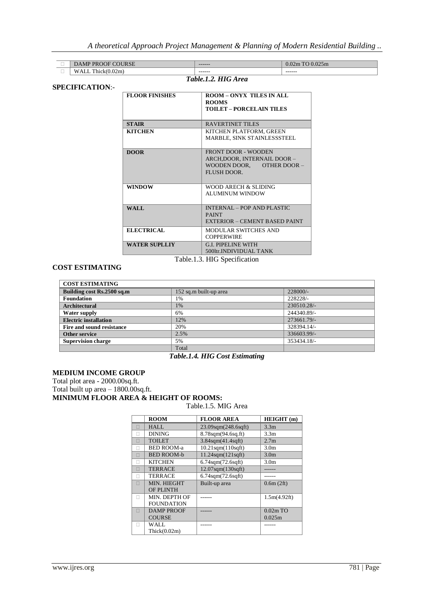| $\sim$ $\sim$ $\sim$ $\sim$<br>5 O.D<br>$\cdots$ | ------- | $\sim$ $\sim$ $\sim$<br>$\Omega$<br>mc<br>J.V. |
|--------------------------------------------------|---------|------------------------------------------------|
| Ē<br>Lλ.<br>hick<br>, , , , , , , ,              | ------- | -------                                        |

# **SPECIFICATION**:-

# *Table.1.2. HIG Area*

| <b>FLOOR FINISHES</b>        | <b>ROOM - ONYX TILES IN ALL</b><br><b>ROOMS</b><br><b>TOILET - PORCELAIN TILES</b>                          |  |
|------------------------------|-------------------------------------------------------------------------------------------------------------|--|
| <b>STAIR</b>                 | <b>RAVERTINET TILES</b>                                                                                     |  |
| <b>KITCHEN</b>               | KITCHEN PLATFORM, GREEN<br>MARBLE, SINK STAINLESSSTEEL                                                      |  |
| <b>DOOR</b>                  | <b>FRONT DOOR - WOODEN</b><br>ARCH, DOOR, INTERNAIL DOOR -<br>OTHER DOOR $-$<br>WOODEN DOOR,<br>FLUSH DOOR. |  |
| <b>WINDOW</b>                | WOOD ARECH & SLIDING<br>ALUMINUM WINDOW                                                                     |  |
| WALL                         | <b>INTERNAL - POP AND PLASTIC</b><br><b>PAINT</b><br>EXTERIOR – CEMENT BASED PAINT                          |  |
| <b>ELECTRICAL</b>            | MODULAR SWITCHES AND<br><b>COPPERWIRE</b>                                                                   |  |
| <b>WATER SUPLLIY</b>         | <b>G.I. PIPELINE WITH</b><br>500ltr.INDIVIDUAL TANK                                                         |  |
| Table.1.3. HIG Specification |                                                                                                             |  |

## **COST ESTIMATING**

| <b>COST ESTIMATING</b>       |                        |             |  |
|------------------------------|------------------------|-------------|--|
| Building cost Rs.2500 sq.m   | 152 sq.m built-up area | $228000/-$  |  |
| <b>Foundation</b>            | 1%                     | 228228/-    |  |
| <b>Architectural</b>         | 1%                     | 230510.28/- |  |
| Water supply                 | 6%                     | 244340.89/- |  |
| <b>Electric installation</b> | 12%                    | 273661.79/- |  |
| Fire and sound resistance    | 20%                    | 328394.14/- |  |
| Other service                | 2.5%                   | 336603.99/- |  |
| <b>Supervision charge</b>    | 5%                     | 353434.18/- |  |
|                              | Total                  |             |  |

# *Table.1.4. HIG Cost Estimating*

#### **MEDIUM INCOME GROUP**

Total plot area - 2000.00sq.ft. Total built up area – 1800.00sq.ft. **MINIMUM FLOOR AREA & HEIGHT OF ROOMS:**

#### Table.1.5. MIG Area

|   | <b>ROOM</b>       | <b>FLOOR AREA</b>           | HEIGHT (m)       |
|---|-------------------|-----------------------------|------------------|
| п | HALL              | 23.09sqm(248.6sqft)         | 3.3 <sub>m</sub> |
|   | <b>DINING</b>     | 8.78sqm(94.6sq.ft)          | 3.3 <sub>m</sub> |
|   | <b>TOILET</b>     | $3.84$ sqm $(41.4$ sqft $)$ | 2.7 <sub>m</sub> |
|   | <b>BED ROOM-a</b> | $10.21$ sqm $(110$ sqft $)$ | 3.0 <sub>m</sub> |
|   | <b>BED ROOM-b</b> | $11.24$ sqm $(121$ sqft $)$ | 3.0 <sub>m</sub> |
|   | <b>KITCHEN</b>    | $6.74$ sqm $(72.6$ sqft $)$ | 3.0 <sub>m</sub> |
|   | <b>TERRACE</b>    | $12.07$ sqm $(130$ sqft $)$ |                  |
|   | <b>TERRACE</b>    | $6.74$ sqm $(72.6$ sqft $)$ |                  |
|   | MIN. HIEGHT       | Built-up area               | 0.6m(2ft)        |
|   | <b>OF PLINTH</b>  |                             |                  |
|   | MIN. DEPTH OF     |                             | 1.5m(4.92ft)     |
|   | <b>FOUNDATION</b> |                             |                  |
|   | <b>DAMP PROOF</b> |                             | $0.02m$ TO       |
|   | <b>COURSE</b>     |                             | 0.025m           |
|   | WALL              |                             |                  |
|   | Thick(0.02m)      |                             |                  |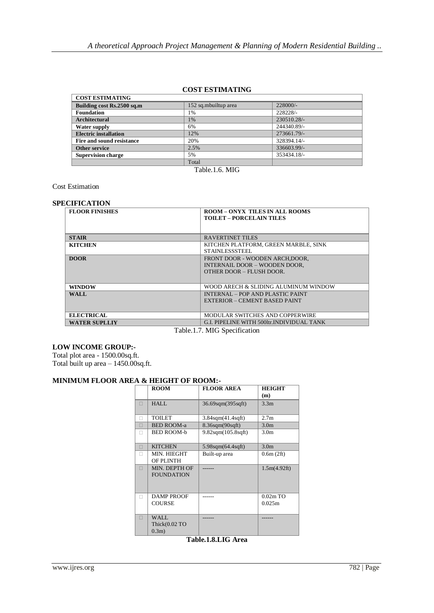# **COST ESTIMATING**

| <b>COST ESTIMATING</b>       |                      |             |  |
|------------------------------|----------------------|-------------|--|
| Building cost Rs.2500 sq.m   | 152 sq.mbuiltup area | $228000/-$  |  |
| <b>Foundation</b>            | 1%                   | 228228/-    |  |
| <b>Architectural</b>         | 1%                   | 230510.28/- |  |
| Water supply                 | 6%                   | 244340.89/- |  |
| <b>Electric installation</b> | 12%                  | 273661.79/- |  |
| Fire and sound resistance    | 20%                  | 328394.14/- |  |
| Other service                | 2.5%                 | 336603.99/- |  |
| <b>Supervision charge</b>    | 5%                   | 353434.18/- |  |
|                              | Total                |             |  |

Table.1.6. MIG

Cost Estimation

# **SPECIFICATION**

| <b>FLOOR FINISHES</b>                       | <b>ROOM - ONYX TILES IN ALL ROOMS</b>     |  |
|---------------------------------------------|-------------------------------------------|--|
|                                             | <b>TOILET - PORCELAIN TILES</b>           |  |
|                                             |                                           |  |
|                                             |                                           |  |
| <b>STAIR</b>                                | <b>RAVERTINET TILES</b>                   |  |
| <b>KITCHEN</b>                              | KITCHEN PLATFORM, GREEN MARBLE, SINK      |  |
|                                             | <b>STAINLESSSTEEL</b>                     |  |
| <b>DOOR</b>                                 | FRONT DOOR - WOODEN ARCH, DOOR,           |  |
|                                             | INTERNAIL DOOR - WOODEN DOOR,             |  |
|                                             | OTHER DOOR - FLUSH DOOR.                  |  |
|                                             |                                           |  |
| <b>WINDOW</b>                               | WOOD ARECH & SLIDING ALUMINUM WINDOW      |  |
| WALL.                                       | INTERNAL - POP AND PLASTIC PAINT          |  |
|                                             | EXTERIOR – CEMENT BASED PAINT             |  |
|                                             |                                           |  |
| <b>ELECTRICAL</b>                           | MODULAR SWITCHES AND COPPERWIRE           |  |
| <b>WATER SUPLLIY</b>                        | G.I. PIPELINE WITH 500ltr.INDIVIDUAL TANK |  |
| $\mathbf{m}$ ii is not $\alpha$ if $\alpha$ |                                           |  |

Table.1.7. MIG Specification

# **LOW INCOME GROUP:-**

Total plot area - 1500.00sq.ft.

Total built up area – 1450.00sq.ft.

# **MINIMUM FLOOR AREA & HEIGHT OF ROOM:-**

|   | <b>ROOM</b>       | <b>FLOOR AREA</b>            | <b>HEIGHT</b>    |
|---|-------------------|------------------------------|------------------|
|   |                   |                              | (m)              |
| П | HALL              | 36.69sqm(395sqft)            | 3.3 <sub>m</sub> |
|   |                   |                              |                  |
|   | TOILET            | 3.84sqm(41.4sqft)            | 2.7 <sub>m</sub> |
| П | <b>BED ROOM-a</b> | $8.36$ sqm $(90$ sqft $)$    | 3.0 <sub>m</sub> |
|   | <b>BED ROOM-b</b> | $9.82$ sqm $(105.8$ sqft $)$ | 3.0 <sub>m</sub> |
| ⊓ | <b>KITCHEN</b>    | $5.98$ sqm $(64.4$ sqft $)$  | 3.0 <sub>m</sub> |
|   | MIN. HIEGHT       | Built-up area                | 0.6m(2ft)        |
|   | <b>OF PLINTH</b>  |                              |                  |
| П | MIN. DEPTH OF     |                              | 1.5m(4.92ft)     |
|   | <b>FOUNDATION</b> |                              |                  |
|   |                   |                              |                  |
|   | <b>DAMP PROOF</b> |                              | $0.02m$ TO       |
|   | <b>COURSE</b>     |                              | 0.025m           |
|   |                   |                              |                  |
| П | <b>WALL</b>       |                              |                  |
|   | Thick(0.02 TO     |                              |                  |
|   | $0.3m$ )          |                              |                  |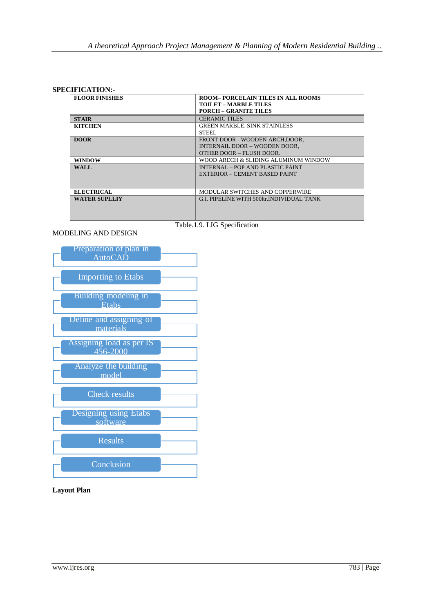## **SPECIFICATION:-**

| <b>FLOOR FINISHES</b> | <b>ROOM-PORCELAIN TILES IN ALL ROOMS</b>  |  |
|-----------------------|-------------------------------------------|--|
|                       | <b>TOILET - MARBLE TILES</b>              |  |
|                       | <b>PORCH - GRANITE TILES</b>              |  |
| <b>STAIR</b>          | <b>CERAMIC TILES</b>                      |  |
| <b>KITCHEN</b>        | <b>GREEN MARBLE, SINK STAINLESS</b>       |  |
|                       | <b>STEEL</b>                              |  |
| <b>DOOR</b>           | FRONT DOOR - WOODEN ARCH.DOOR.            |  |
|                       | INTERNAIL DOOR - WOODEN DOOR.             |  |
|                       | OTHER DOOR - FLUSH DOOR.                  |  |
| <b>WINDOW</b>         | WOOD ARECH & SLIDING ALUMINUM WINDOW      |  |
| WALL.                 | INTERNAL - POP AND PLASTIC PAINT          |  |
|                       | EXTERIOR – CEMENT BASED PAINT             |  |
|                       |                                           |  |
| <b>ELECTRICAL</b>     | MODULAR SWITCHES AND COPPERWIRE           |  |
| WATER SUPLLIY         | G.I. PIPELINE WITH 500ltr.INDIVIDUAL TANK |  |
|                       |                                           |  |
|                       |                                           |  |
|                       |                                           |  |

Table.1.9. LIG Specification

# MODELING AND DESIGN



**Layout Plan**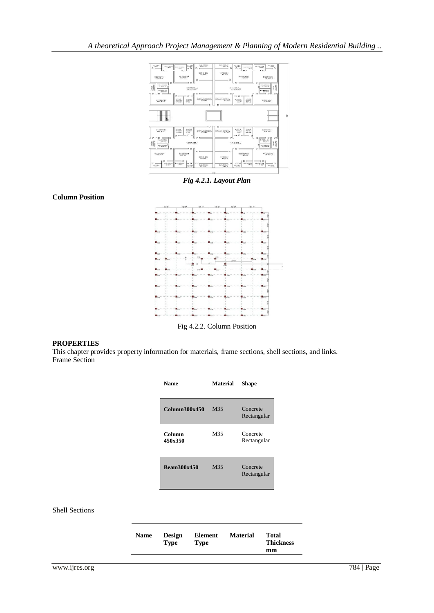

*Fig 4.2.1. Layout Plan*



Fig 4.2.2. Column Position

# **PROPERTIES**

**Column Position**

This chapter provides property information for materials, frame sections, shell sections, and links. Frame Section

| <b>Name</b>        | <b>Material</b> | <b>Shape</b>            |
|--------------------|-----------------|-------------------------|
| Column300x450      | M35             | Concrete<br>Rectangular |
| Column<br>450x350  | M35             | Concrete<br>Rectangular |
| <b>Beam300x450</b> | M35             | Concrete<br>Rectangular |

## Shell Sections

| <b>Thickness</b><br>Type<br><b>Type</b><br>mm | <b>Name</b> | <b>Design</b> | <b>Element</b> | <b>Material</b> | Total |
|-----------------------------------------------|-------------|---------------|----------------|-----------------|-------|
|-----------------------------------------------|-------------|---------------|----------------|-----------------|-------|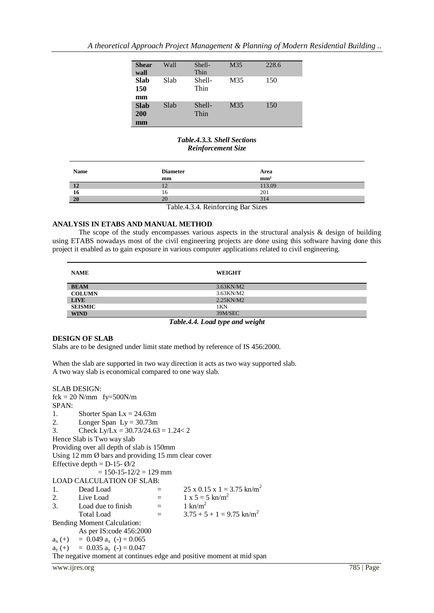*A theoretical Approach Project Management & Planning of Modern Residential Building ..*

| <b>Shear</b><br>wall     | Wall | Shell-<br>Thin | M35 | 228.6 |
|--------------------------|------|----------------|-----|-------|
| <b>Slab</b><br>150<br>mm | Slab | Shell-<br>Thin | M35 | 150   |
| <b>Slab</b><br>200<br>mm | Slab | Shell-<br>Thin | M35 | 150   |

*Table.4.3.3. Shell Sections Reinforcement Size*

| <b>Name</b>                       | <b>Diameter</b> | Area            |  |  |  |
|-----------------------------------|-----------------|-----------------|--|--|--|
|                                   | mm              | mm <sup>2</sup> |  |  |  |
| 12                                | 12              | 113.09          |  |  |  |
| 16                                | 16              | 201             |  |  |  |
| 20                                | 20              | 314             |  |  |  |
| Toble 4.2.4 Doinforoing Dor Gizon |                 |                 |  |  |  |

Table.4.3.4. Reinforcing Bar Sizes

## **ANALYSIS IN ETABS AND MANUAL METHOD**

The scope of the study encompasses various aspects in the structural analysis & design of building using ETABS nowadays most of the civil engineering projects are done using this software having done this project it enabled as to gain exposure in various computer applications related to civil engineering.

| <b>WEIGHT</b><br><b>NAME</b>   |  |
|--------------------------------|--|
| $3.63$ KN/M2<br><b>BEAM</b>    |  |
| <b>COLUMN</b><br>$3.63$ KN/M2  |  |
| $2.25$ KN/M $2$<br><b>LIVE</b> |  |
| <b>SEISMIC</b><br>1KN          |  |
| 39M/SEC<br><b>WIND</b>         |  |

*Table.4.4. Load type and weight*

# **DESIGN OF SLAB**

Slabs are to be designed under limit state method by reference of IS 456:2000.

When the slab are supported in two way direction it acts as two way supported slab. A two way slab is economical compared to one way slab.

```
SLAB DESIGN:
fck = 20 N/mm fy=500N/m
SPAN:
1. Shorter Span Lx = 24.63m2. Longer Span Ly = 30.73m3. Check Ly/Lx = 30.73/24.63 = 1.24 < 2Hence Slab is Two way slab
Providing over all depth of slab is 150mm
Using 12 \text{ mm } \emptyset bars and providing 15 \text{ mm} clear cover
Effective depth = D-15-\vec{Q}/2= 150 - 15 - 12/2 = 129 mm
LOAD CALCULATION OF SLAB:
1. Dead Load = 25 x 0.15 x 1 = 3.75 kn/m<sup>2</sup>
2. Live Load = 1 x 5 = 5 kn/m<sup>2</sup><br>3. Load due to finish = 1 kn/m<sup>2</sup>
3. Load due to finish =Total Load = 3.75 + 5 + 1 = 9.75 \text{ km/m}^2Bending Moment Calculation:
        As per IS:code 456:2000
a_x (+) = 0.049 a_x (-) = 0.065a_y (+) = 0.035 a_y (-)= 0.047The negative moment at continues edge and positive moment at mid span
```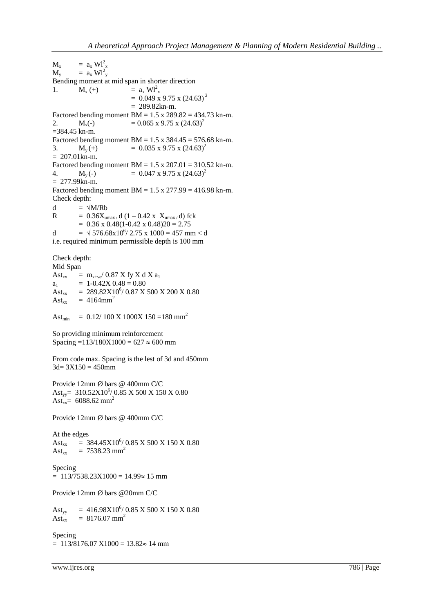$M_x$  =  $a_x Wl_x^2$  $M_y$  =  $a_x Wl_y^2$ Bending moment at mid span in shorter direction 1.  $M_x (+) = a_x W l_x^2$  $= 0.049 \times 9.75 \times (24.63)^2$  $= 289.82 \text{km} - \text{m}$ . Factored bending moment  $BM = 1.5$  x  $289.82 = 434.73$  kn-m. 2.  $M_x(-) = 0.065 \times 9.75 \times (24.63)^2$ =384.45 kn-m. Factored bending moment  $BM = 1.5$  x  $384.45 = 576.68$  kn-m. 3.  $M_v(+)$  = 0.035 x 9.75 x (24.63)<sup>2</sup>  $= 207.01 \text{ km} - \text{m}$ . Factored bending moment  $BM = 1.5 \times 207.01 = 310.52$  kn-m. 4.  $M_v(-) = 0.047 \times 9.75 \times (24.63)^2$  $= 277.99 \text{km} - \text{m}$ . Factored bending moment  $BM = 1.5$  x  $277.99 = 416.98$  kn-m. Check depth: d =  $\sqrt{\frac{M}{R}}$ R =  $0.36X_{\text{umax}}$  / d (1 – 0.42 x  $X_{\text{umax}}$  / d) fck  $= 0.36$  x  $0.48(1 - 0.42$  x  $0.48)20 = 2.75$ d =  $\sqrt{576.68 \times 10^6}$ / 2.75 x 1000 = 457 mm < d i.e. required minimum permissible depth is 100 mm

Check depth:

Mid Span Ast<sub>xx</sub> =  $m_{x+ye}$  0.87 X fy X d X a<sub>1</sub>  $a_1 = 1-0.42X$   $0.48 = 0.80$ Ast<sub>xx</sub> = 289.82X10<sup>6</sup>/0.87 X 500 X 200 X 0.80  $\text{Ast}_{\text{xx}}$  = 4164mm<sup>2</sup>

Ast<sub>min</sub> =  $0.12/100 \text{ X } 1000 \text{ X } 150 = 180 \text{ mm}^2$ 

So providing minimum reinforcement Spacing =113/180X1000 =  $627 \approx 600$  mm

From code max. Spacing is the lest of 3d and 450mm  $3d= 3X150 = 450$ mm

Provide 12mm Ø bars @ 400mm C/C Ast<sub>yy</sub> =  $310.52 \text{X} 10^6 / 0.85 \text{ X} 500 \text{ X} 150 \text{ X} 0.80$ Ast<sub>xx</sub>= 6088.62 mm<sup>2</sup>

Provide 12mm Ø bars @ 400mm C/C

At the edges Ast<sub>xx</sub> = 384.45X10<sup>6</sup>/ 0.85 X 500 X 150 X 0.80 Ast<sub>xx</sub> = 7538.23 mm<sup>2</sup>

Specing  $= 113/7538.23X1000 = 14.99 \approx 15$  mm

Provide 12mm Ø bars @20mm C/C

Ast<sub>yy</sub> =  $416.98X10^6/0.85 \text{ X } 500 \text{ X } 150 \text{ X } 0.80$ Ast<sub>yy</sub> = 416.98X10<sup>o</sup>/<br>Ast<sub>xx</sub> = 8176.07 mm<sup>2</sup>

Specing  $= 113/8176.07 X1000 = 13.82 \approx 14 \text{ mm}$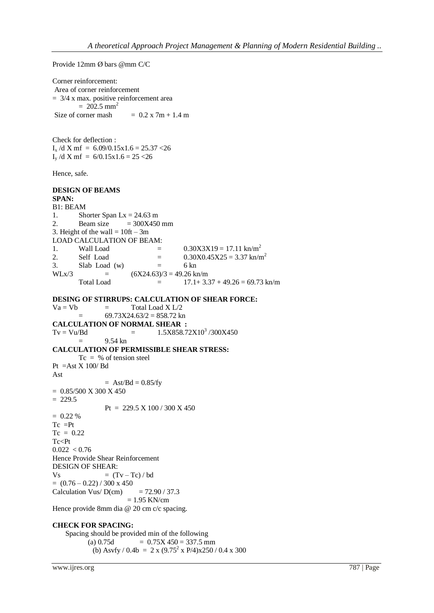Provide 12mm Ø bars @mm C/C

Corner reinforcement: Area of corner reinforcement  $= 3/4$  x max. positive reinforcement area  $= 202.5$  mm<sup>2</sup> Size of corner mash  $= 0.2 \times 7m + 1.4 m$ Check for deflection :  $I_x/dX \text{ m}f = 6.09/0.15x1.6 = 25.37 < 26$ I<sub>y</sub> /d X mf =  $6/0.15x1.6 = 25 < 26$ Hence, safe. **DESIGN OF BEAMS SPAN:**  B1: BEAM 1. Shorter Span  $Lx = 24.63$  m 2. Beam size  $= 300X450$  mm 3. Height of the wall  $= 10$ ft  $- 3m$ LOAD CALCULATION OF BEAM: 1. Wall Load  $=$  0.30X3X19 = 17.11 kn/m<sup>2</sup> 2. Self Load  $=$  0.30X0.45X25 = 3.37 kn/m<sup>2</sup> 3. Slab Load (w)  $=$  6 kn  $W Lx/3$  =  $(6X24.63)/3 = 49.26$  kn/m Total Load  $=$  17.1+ 3.37 + 49.26 = 69.73 kn/m **DESING OF STIRRUPS: CALCULATION OF SHEAR FORCE:**  $Va = Vb$  = Total Load X L/2  $=$  69.73X24.63/2 = 858.72 kn **CALCULATION OF NORMAL SHEAR :**  $Tv = Vu/Bd = 1.5X858.72X10<sup>3</sup>/300X450$ = 9.54 kn **CALCULATION OF PERMISSIBLE SHEAR STRESS:**  $Tc = % of tension steel$ Pt  $=$ Ast X 100/ Bd Ast  $=$  Ast/Bd  $=$  0.85/fy  $= 0.85/500$  X 300 X 450  $= 229.5$ Pt =  $229.5 \text{ X } 100 / 300 \text{ X } 450$  $= 0.22 %$  $Tc = Pt$  $Tc = 0.22$ Tc<Pt  $0.022 < 0.76$ Hence Provide Shear Reinforcement DESIGN OF SHEAR:  $Vs = (Tv - Tc) / bd$  $= (0.76 - 0.22) / 300 \text{ x } 450$ Calculation Vus/  $D(cm)$  = 72.90 / 37.3  $= 1.95$  KN/cm Hence provide 8mm dia @ 20 cm c/c spacing. **CHECK FOR SPACING:** Spacing should be provided min of the following (a)  $0.75d = 0.75X 450 = 337.5$  mm

(b) Asvfy / 0.4b = 2 x (9.75<sup>2</sup> x P/4)x250 / 0.4 x 300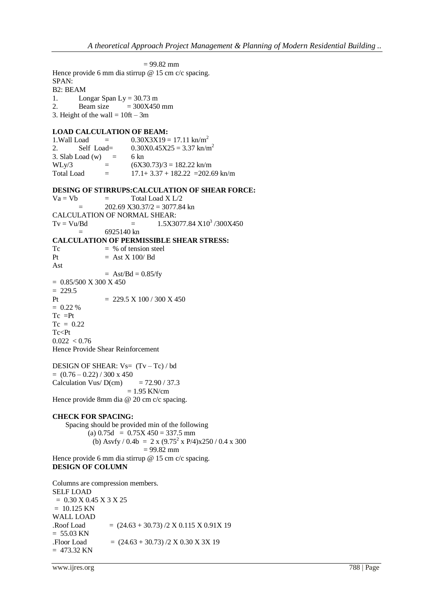$= 99.82$  mm Hence provide 6 mm dia stirrup @ 15 cm c/c spacing. SPAN: B2: BEAM 1. Longar Span Ly =  $30.73$  m 2. Beam size  $= 300X450$  mm 3. Height of the wall  $= 10$ ft  $- 3m$ **LOAD CALCULATION OF BEAM:** 1. Wall Load =  $0.30X3X19 = 17.11 \text{ km/m}^2$ 2. Self Load=  $0.30X0.45X25 = 3.37 \text{ km/m}^2$ 3. Slab Load (w) = 6 kn<br>WLv/3 =  $(6X3$  $WLy/3$  =  $(6X30.73)/3 = 182.22$  kn/m Total Load  $=$  17.1+ 3.37 + 182.22 = 202.69 kn/m **DESING OF STIRRUPS:CALCULATION OF SHEAR FORCE:**  $Va = Vb$  = Total Load X L/2  $= 202.69 \text{ X}30.37/2 = 3077.84 \text{ kn}$ CALCULATION OF NORMAL SHEAR:  $Tv = Vu/Bd = 1.5X3077.84 X10<sup>3</sup> / 300X450$  $=$  6925140 kn **CALCULATION OF PERMISSIBLE SHEAR STRESS:**  $Tc = % of tension steel$ Pt  $=$  Ast X 100/ Bd Ast  $=$  Ast/Bd  $=$  0.85/fy  $= 0.85/500$  X 300 X 450  $= 229.5$ Pt  $= 229.5 \text{ X } 100 / 300 \text{ X } 450$  $= 0.22 %$  $Tc = Pt$  $Tc = 0.22$  $Tc < Pt$  $0.022 < 0.76$ Hence Provide Shear Reinforcement DESIGN OF SHEAR:  $V_s = (Tv - Tc)/bd$  $= (0.76 - 0.22) / 300 \text{ x } 450$ Calculation Vus/  $D(cm)$  = 72.90 / 37.3  $= 1.95$  KN/cm Hence provide 8mm dia @ 20 cm c/c spacing. **CHECK FOR SPACING:** Spacing should be provided min of the following (a)  $0.75d = 0.75X 450 = 337.5$  mm (b) Asvfy / 0.4b = 2 x (9.75<sup>2</sup> x P/4)x250 / 0.4 x 300  $= 99.82$  mm Hence provide 6 mm dia stirrup @ 15 cm c/c spacing. **DESIGN OF COLUMN** 

Columns are compression members. SELF LOAD  $= 0.30$  X 0.45 X 3 X 25  $= 10.125$  KN WALL LOAD  $Roof Load$  =  $(24.63 + 30.73) / 2 X 0.115 X 0.91 X 19$  $= 55.03$  KN  $Floor$  Load = (24.63 + 30.73) /2 X 0.30 X 3X 19  $= 473.32$  KN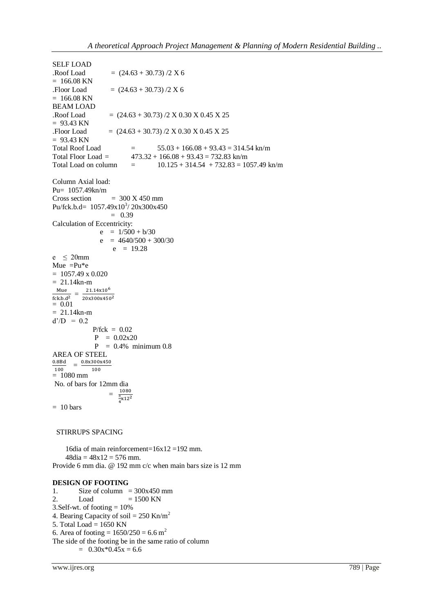SELF LOAD  $Roof Load$  =  $(24.63 + 30.73)/2 X 6$  $= 166.08$  KN .Floor Load  $= (24.63 + 30.73)/2 X 6$  $= 166.08$  KN BEAM LOAD  $Roof Load$  =  $(24.63 + 30.73)/2 X 0.30 X 0.45 X 25$  $= 93.43$  KN .Floor Load  $= (24.63 + 30.73) / 2 \text{ X } 0.30 \text{ X } 0.45 \text{ X } 25$  $= 93.43$  KN Total Roof Load =  $55.03 + 166.08 + 93.43 = 314.54 \text{ km/m}$ <br>Total Floor Load =  $473.32 + 166.08 + 93.43 = 732.83 \text{ km/m}$  $473.32 + 166.08 + 93.43 = 732.83$  kn/m Total Load on column  $=$   $10.125 + 314.54 + 732.83 = 1057.49 \text{ km/m}$ Column Axial load: Pu= 1057.49kn/m Cross section  $= 300 \text{ X } 450 \text{ mm}$ Pu/fck.b.d=  $1057.49 \times 10^{3}$ /  $20 \times 300 \times 450$  $= 0.39$ Calculation of Eccentricity:  $e = 1/500 + b/30$  $e$  = 4640/500 + 300/30  $e = 19.28$ e  $\leq$  20mm Mue  $=Pu*e$  $= 1057.49 \times 0.020$  $= 21.14 \text{km} - \text{m}$ Mue<sub>11</sub> =  $\frac{2}{10^{11}}$  $fck.b.d<sup>2</sup>$ 20x300x450<sup>2</sup>  $= 0.01$  $= 21.14$ kn-m  $d'/D = 0.2$  $P/fck = 0.02$  $P = 0.02x20$  $P = 0.4\%$  minimum 0.8 AREA OF STEEL  $\frac{0.8Bd}{100} = \frac{0}{0}$  $\frac{100}{ }$ 100  $= 1080$  mm No. of bars for 12mm dia = 1080  $\bar{\pi}$  $\frac{1}{4}x$  $= 10 \text{ bars}$ 

# STIRRUPS SPACING

 16dia of main reinforcement=16x12 =192 mm.  $48dia = 48x12 = 576$  mm. Provide 6 mm dia. @ 192 mm c/c when main bars size is 12 mm

## **DESIGN OF FOOTING**

1. Size of column =  $300x450$  mm<br>2. Load =  $1500$  KN  $\text{Load} = 1500 \text{ KN}$ 3.Self-wt. of footing  $= 10\%$ 4. Bearing Capacity of soil =  $250$  Kn/m<sup>2</sup> 5. Total Load = 1650 KN 6. Area of footing =  $1650/250 = 6.6$  m<sup>2</sup> The side of the footing be in the same ratio of column  $= 0.30x * 0.45x = 6.6$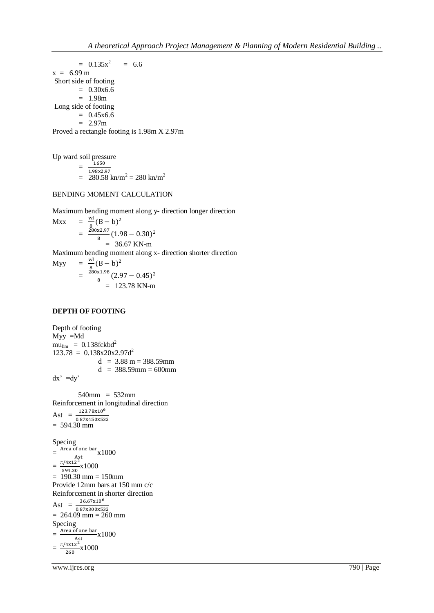$= 0.135x^2$  $= 6.6$  $x = 6.99 \text{ m}$ Short side of footing  $= 0.30x6.6$  $= 1.98m$ Long side of footing  $= 0.45x6.6$  $= 2.97m$ Proved a rectangle footing is 1.98m X 2.97m

Up ward soil pressure

=  $1650$ 1.98x2.97  $= 280.58$  kn/m<sup>2</sup> = 280 kn/m<sup>2</sup>

# BENDING MOMENT CALCULATION

Maximum bending moment along y- direction longer direction

$$
\begin{array}{rcl}\n\text{Max} & = & \frac{\text{wl}}{8} (B - b)^2 \\
& = & \frac{280 \times 2.97}{8} (1.98 - 0.30)^2 \\
& = & 36.67 \text{ KN-m}\n\end{array}
$$

Maximum bending moment along x- direction shorter direction

Myy W  $\frac{N_1}{8} (B - b)^2$  $=$   $\frac{2}{3}$  $\frac{x_{1.98}}{8}(2.97-0.45)^2$  $= 123.78$  KN-m

#### **DEPTH OF FOOTING**

Depth of footing Myy =Md  $mu$ <sub>lim</sub> = 0.138fckbd<sup>2</sup>  $123.78 = 0.138x20x2.97d^2$  $d = 3.88$  m = 388.59mm  $d = 388.59$ mm = 600mm  $dx' = dy'$ 

 540mm = 532mm Reinforcement in longitudinal direction Ast  $=\frac{1}{0}$  $= 594.30$  mm

Specing  $=\frac{\text{Area of one bar}}{\text{det}} \times 1000$ A  $=\frac{\pi}{2}$  $\frac{1}{594.30}$ x1000  $= 190.30$  mm  $= 150$ mm Provide 12mm bars at 150 mm c/c Reinforcement in shorter direction Ast  $=\frac{1}{0}$  $= 264.09$  mm  $= 260$  mm Specing  $=\frac{\text{Area of one bar}}{\text{det}} \times 1000$  $\overline{A}$ st  $=\frac{\pi/4x12^2}{260}x1000$ 260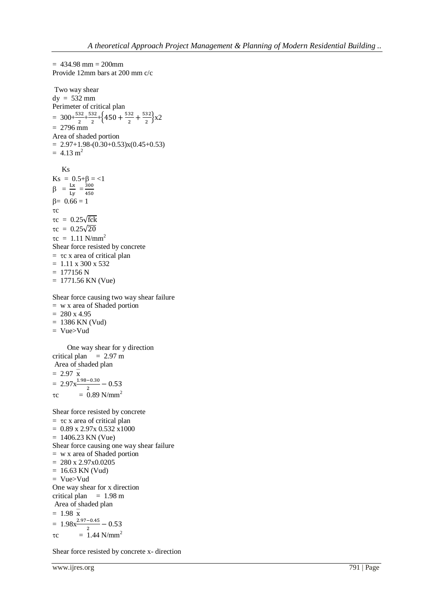```
= 434.98 mm = 200mm
Provide 12mm bars at 200 mm c/c
Two way shear 
dy = 532 mm
Perimeter of critical plan 
= 300+\frac{532}{2}+\frac{5}{2}\frac{32}{2}+\left\{450+\frac{5}{2}\right\}rac{32}{2} + \frac{5}{2}\frac{32}{2} x2
= 2796 mm
Area of shaded portion
= 2.97+1.98-(0.30+0.53)x(0.45+0.53)= 4.13 \text{ m}^2 Ks
Ks = 0.5 + \beta = 1\beta = \frac{L}{I}\frac{Lx}{Ly} = \frac{3}{4}4
\beta = 0.66 = 1\tau c\tauc = 0.25\sqrt{\text{fck}}\tau c = 0.25\sqrt{20}\tau c = 1.11 \text{ N/mm}^2Shear force resisted by concrete
= \tauc x area of critical plan
= 1.11 \times 300 \times 532= 177156 N= 1771.56 KN (Vue)
```
Shear force causing two way shear failure

- = w x area of Shaded portion
- $= 280 x 4.95$
- $= 1386$  KN (Vud)
- = Vue>Vud

 One way shear for y direction critical plan  $= 2.97$  m Area of shaded plan  $= 2.97 \times$  $= 2.97x \frac{1.98 - 0.30}{2}$  $\tau$ c = 0.89 N/mm<sup>2</sup>

Shear force resisted by concrete

 $=$   $\tau$ c x area of critical plan  $= 0.89$  x 2.97x 0.532 x1000  $= 1406.23$  KN (Vue) Shear force causing one way shear failure = w x area of Shaded portion  $= 280 x 2.97x0.0205$  $= 16.63$  KN (Vud) = Vue>Vud One way shear for x direction critical plan  $= 1.98$  m Area of shaded plan  $= 1.98 x$  $= 1.98x^{\frac{2.97 - 0.45}{2}}$  $\tau c = 1.44 \text{ N/mm}^2$ 

Shear force resisted by concrete x- direction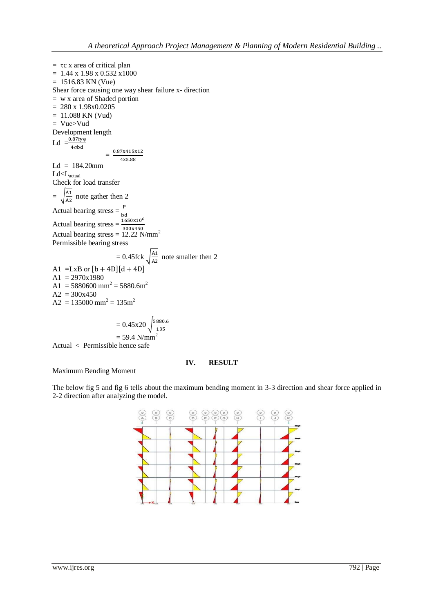$=$   $\tau$ c x area of critical plan  $= 1.44$  x 1.98 x 0.532 x 1000  $= 1516.83$  KN (Vue) Shear force causing one way shear failure x- direction = w x area of Shaded portion  $= 280 x 1.98x0.0205$  $= 11.088$  KN (Vud) = Vue>Vud Development length Ld  $=\frac{0.8}{4}$  $=$ 0.87x415x12 4x5.88  $Ld = 184.20$ mm Ld<Lactual Check for load transfer  $=\int_{0}^{A}$  $\frac{A_1}{A_2}$  note gather then 2 Actual bearing stress  $=\frac{1}{b}$ Actual bearing stress  $=\frac{16}{3}$ Actual bearing stress =  $12.22$  N/mm<sup>2</sup> Permissible bearing stress  $= 0.45$ fck A  $\frac{A_1}{A_2}$  note smaller then 2 A1 =LxB or  $[b + 4D][d + 4D]$  $A1 = 2970x1980$  $A1 = 5880600$  mm<sup>2</sup> = 5880.6m<sup>2</sup>  $A2 = 300x450$  $A2 = 135000$  mm<sup>2</sup> = 135m<sup>2</sup>

$$
= 0.45x20 \sqrt{\frac{5880.6}{135}}
$$
  
= 59.4 N/mm<sup>2</sup>

Actual < Permissible hence safe

## **IV. RESULT**

Maximum Bending Moment

The below fig 5 and fig 6 tells about the maximum bending moment in 3-3 direction and shear force applied in 2-2 direction after analyzing the model.